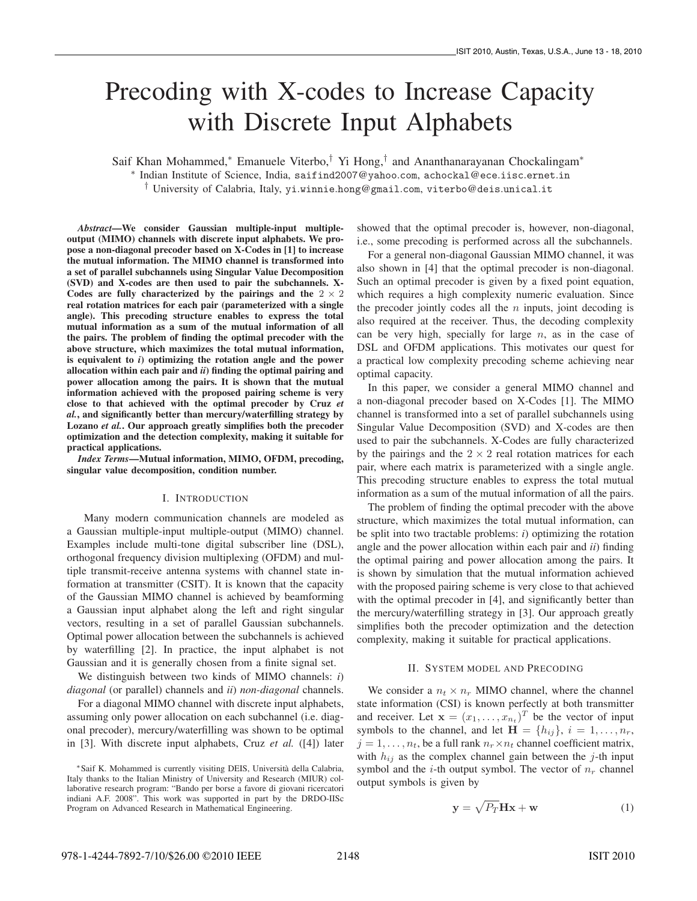# Precoding with X-codes to Increase Capacity with Discrete Input Alphabets

Saif Khan Mohammed,∗ Emanuele Viterbo,† Yi Hong,† and Ananthanarayanan Chockalingam∗

∗ Indian Institute of Science, India, saifind2007@yahoo.com, achockal@ece.iisc.ernet.in

† University of Calabria, Italy, yi.winnie.hong@gmail.com, viterbo@deis.unical.it

*Abstract*—We consider Gaussian multiple-input multipleoutput (MIMO) channels with discrete input alphabets. We propose a non-diagonal precoder based on X-Codes in [1] to increase the mutual information. The MIMO channel is transformed into a set of parallel subchannels using Singular Value Decomposition (SVD) and X-codes are then used to pair the subchannels. X-Codes are fully characterized by the pairings and the  $2 \times 2$ real rotation matrices for each pair (parameterized with a single angle). This precoding structure enables to express the total mutual information as a sum of the mutual information of all the pairs. The problem of finding the optimal precoder with the above structure, which maximizes the total mutual information, is equivalent to *i*) optimizing the rotation angle and the power allocation within each pair and *ii*) finding the optimal pairing and power allocation among the pairs. It is shown that the mutual information achieved with the proposed pairing scheme is very close to that achieved with the optimal precoder by Cruz *et al.*, and significantly better than mercury/waterfilling strategy by Lozano *et al.*. Our approach greatly simplifies both the precoder optimization and the detection complexity, making it suitable for practical applications.

*Index Terms*—Mutual information, MIMO, OFDM, precoding, singular value decomposition, condition number.

#### I. INTRODUCTION

Many modern communication channels are modeled as a Gaussian multiple-input multiple-output (MIMO) channel. Examples include multi-tone digital subscriber line (DSL), orthogonal frequency division multiplexing (OFDM) and multiple transmit-receive antenna systems with channel state information at transmitter (CSIT). It is known that the capacity of the Gaussian MIMO channel is achieved by beamforming a Gaussian input alphabet along the left and right singular vectors, resulting in a set of parallel Gaussian subchannels. Optimal power allocation between the subchannels is achieved by waterfilling [2]. In practice, the input alphabet is not Gaussian and it is generally chosen from a finite signal set.

We distinguish between two kinds of MIMO channels: *i*) *diagonal* (or parallel) channels and *ii*) *non-diagonal* channels.

For a diagonal MIMO channel with discrete input alphabets, assuming only power allocation on each subchannel (i.e. diagonal precoder), mercury/waterfilling was shown to be optimal in [3]. With discrete input alphabets, Cruz *et al.* ([4]) later

showed that the optimal precoder is, however, non-diagonal, i.e., some precoding is performed across all the subchannels.

For a general non-diagonal Gaussian MIMO channel, it was also shown in [4] that the optimal precoder is non-diagonal. Such an optimal precoder is given by a fixed point equation, which requires a high complexity numeric evaluation. Since the precoder jointly codes all the  $n$  inputs, joint decoding is also required at the receiver. Thus, the decoding complexity can be very high, specially for large  $n$ , as in the case of DSL and OFDM applications. This motivates our quest for a practical low complexity precoding scheme achieving near optimal capacity.

In this paper, we consider a general MIMO channel and a non-diagonal precoder based on X-Codes [1]. The MIMO channel is transformed into a set of parallel subchannels using Singular Value Decomposition (SVD) and X-codes are then used to pair the subchannels. X-Codes are fully characterized by the pairings and the  $2 \times 2$  real rotation matrices for each pair, where each matrix is parameterized with a single angle. This precoding structure enables to express the total mutual information as a sum of the mutual information of all the pairs.

The problem of finding the optimal precoder with the above structure, which maximizes the total mutual information, can be split into two tractable problems: *i*) optimizing the rotation angle and the power allocation within each pair and *ii*) finding the optimal pairing and power allocation among the pairs. It is shown by simulation that the mutual information achieved with the proposed pairing scheme is very close to that achieved with the optimal precoder in [4], and significantly better than the mercury/waterfilling strategy in [3]. Our approach greatly simplifies both the precoder optimization and the detection complexity, making it suitable for practical applications.

# II. SYSTEM MODEL AND PRECODING

We consider a  $n_t \times n_r$  MIMO channel, where the channel state information (CSI) is known perfectly at both transmitter and receiver. Let  $\mathbf{x} = (x_1, \ldots, x_{n_t})^T$  be the vector of input symbols to the channel, and let  $\mathbf{H} = \{h_{ij}\}, i = 1, \dots, n_r$ ,  $j = 1, \ldots, n_t$ , be a full rank  $n_r \times n_t$  channel coefficient matrix, with  $h_{ij}$  as the complex channel gain between the j-th input symbol and the *i*-th output symbol. The vector of  $n_r$  channel output symbols is given by

$$
\mathbf{y} = \sqrt{P_T} \mathbf{H} \mathbf{x} + \mathbf{w} \tag{1}
$$

<sup>∗</sup>Saif K. Mohammed is currently visiting DEIS, Universita della Calabria, ` Italy thanks to the Italian Ministry of University and Research (MIUR) collaborative research program: "Bando per borse a favore di giovani ricercatori indiani A.F. 2008". This work was supported in part by the DRDO-IISc Program on Advanced Research in Mathematical Engineering.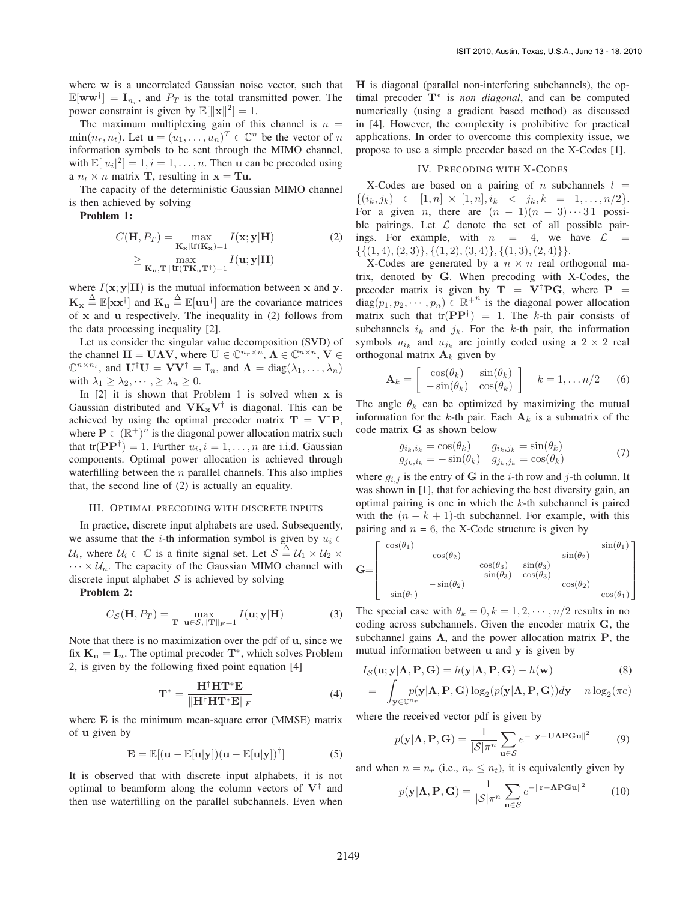where **w** is a uncorrelated Gaussian noise vector, such that  $\mathbb{E}[\mathbf{w}\mathbf{w}^{\dagger}] = \mathbf{I}_{n_r}$ , and  $P_T$  is the total transmitted power. The power constraint is given by  $\mathbb{E}[\|\mathbf{x}\|^2] = 1$ .<br>The maximum multiplexing gain of the

The maximum multiplexing gain of this channel is  $n =$  $\min(n_r, n_t)$ . Let  $\mathbf{u} = (u_1, \dots, u_n)^T \in \mathbb{C}^n$  be the vector of n information symbols to be sent through the MIMO channel, with  $\mathbb{E}[|u_i|^2] = 1, i = 1, \dots, n$ . Then **u** can be precoded using  $u \times n$  matrix  $\mathbf{T}$  resulting in  $\mathbf{x} = \mathbf{T} \mathbf{u}$ a  $n_t \times n$  matrix **T**, resulting in  $\mathbf{x} = \mathbf{T} \mathbf{u}$ .

The capacity of the deterministic Gaussian MIMO channel is then achieved by solving

Problem 1:

$$
C(\mathbf{H}, P_T) = \max_{\mathbf{K}_{\mathbf{x}}|\mathbf{tr}(\mathbf{K}_{\mathbf{x}})=1} I(\mathbf{x}; \mathbf{y}|\mathbf{H})
$$
(2)  

$$
\geq \max_{\mathbf{K}_{\mathbf{u}}, \mathbf{T} | \mathbf{tr}(\mathbf{TK}_{\mathbf{u}} \mathbf{T}^{\dagger})=1} I(\mathbf{u}; \mathbf{y}|\mathbf{H})
$$

where  $I(\mathbf{x}; \mathbf{y}|\mathbf{H})$  is the mutual information between **x** and **y**.  $\mathbf{K}_{\mathbf{x}} \stackrel{\Delta}{=} \mathbb{E}[\mathbf{x}\mathbf{x}^{\dagger}]$  and  $\mathbf{K}_{\mathbf{u}} \stackrel{\Delta}{=} \mathbb{E}[\mathbf{u}\mathbf{u}^{\dagger}]$  are the covariance matrices of  $\mathbf{x}$  and  $\mathbf{u}$  respectively. The inequality in (2) follows from of **x** and **u** respectively. The inequality in (2) follows from the data processing inequality [2].

Let us consider the singular value decomposition (SVD) of the channel  $\mathbf{H} = \mathbf{U}\mathbf{\Lambda}\mathbf{V}$ , where  $\mathbf{U} \in \mathbb{C}^{n_r \times n}$ ,  $\mathbf{\Lambda} \in \mathbb{C}^{n \times n}$ ,  $\mathbf{V} \in$  $\mathbb{C}^{n \times n_t}$ , and  $\mathbf{U}^{\dagger} \mathbf{U} = \mathbf{V} \mathbf{V}^{\dagger} = \mathbf{I}_n$ , and  $\mathbf{\Lambda} = \text{diag}(\lambda_1, \dots, \lambda_n)$ with  $\lambda_1 \geq \lambda_2, \dots, \geq \lambda_n \geq 0$ .

In [2] it is shown that Problem 1 is solved when **x** is Gaussian distributed and  $VK_xV^{\dagger}$  is diagonal. This can be achieved by using the optimal precoder matrix  $T = V^{\dagger}P$ , where  $P \in (\mathbb{R}^+)^n$  is the diagonal power allocation matrix such that tr( $\mathbf{PP}^{\dagger}$ ) = 1. Further  $u_i, i = 1, \ldots, n$  are i.i.d. Gaussian components. Optimal power allocation is achieved through waterfilling between the  $n$  parallel channels. This also implies that, the second line of (2) is actually an equality.

# III. OPTIMAL PRECODING WITH DISCRETE INPUTS

In practice, discrete input alphabets are used. Subsequently, we assume that the *i*-th information symbol is given by  $u_i \in$  $\mathcal{U}_i$ , where  $\mathcal{U}_i \subset \mathbb{C}$  is a finite signal set. Let  $S \stackrel{\Delta}{=} \mathcal{U}_1 \times \mathcal{U}_2 \times \cdots \times \mathcal{U}_n$ . The capacity of the Gaussian MIMO channel with  $\cdots \times U_n$ . The capacity of the Gaussian MIMO channel with discrete input alphabet  $S$  is achieved by solving

Problem 2:

$$
C_{\mathcal{S}}(\mathbf{H}, P_T) = \max_{\mathbf{T} \,|\, \mathbf{u} \in \mathcal{S}, \|\mathbf{T}\|_F = 1} I(\mathbf{u}; \mathbf{y}|\mathbf{H})
$$
(3)

Note that there is no maximization over the pdf of **u**, since we fix  $\mathbf{K}_\mathbf{u} = \mathbf{I}_n$ . The optimal precoder  $\mathbf{T}^*$ , which solves Problem 2, is given by the following fixed point equation [4]

$$
\mathbf{T}^* = \frac{\mathbf{H}^\dagger \mathbf{H} \mathbf{T}^* \mathbf{E}}{\|\mathbf{H}^\dagger \mathbf{H} \mathbf{T}^* \mathbf{E}\|_F} \tag{4}
$$

where **E** is the minimum mean-square error (MMSE) matrix of **u** given by

$$
\mathbf{E} = \mathbb{E}[(\mathbf{u} - \mathbb{E}[\mathbf{u}|\mathbf{y}])(\mathbf{u} - \mathbb{E}[\mathbf{u}|\mathbf{y}])^{\dagger}]
$$
 (5)

It is observed that with discrete input alphabets, it is not optimal to beamform along the column vectors of  $V^{\dagger}$  and then use waterfilling on the parallel subchannels. Even when **H** is diagonal (parallel non-interfering subchannels), the optimal precoder **T**<sup>∗</sup> is *non diagonal*, and can be computed numerically (using a gradient based method) as discussed in [4]. However, the complexity is prohibitive for practical applications. In order to overcome this complexity issue, we propose to use a simple precoder based on the X-Codes [1].

# IV. PRECODING WITH X-CODES

X-Codes are based on a pairing of n subchannels  $l =$  $\{(i_k, j_k) \in [1, n] \times [1, n], i_k < j_k, k = 1, \ldots, n/2\}.$ For a given *n*, there are  $(n - 1)(n - 3) \cdots 31$  possible pairings. Let  $\mathcal L$  denote the set of all possible pairings. For example, with  $n = 4$ , we have  $\mathcal{L} =$  $\{\{(1,4), (2,3)\}, \{(1,2), (3,4)\}, \{(1,3), (2,4)\}\}.$ 

X-Codes are generated by a  $n \times n$  real orthogonal matrix, denoted by **G**. When precoding with X-Codes, the precoder matrix is given by  $T = V^{\dagger}PG$ , where  $P =$  $diag(p_1, p_2, \dots, p_n) \in \mathbb{R}^{+n}$  is the diagonal power allocation matrix such that  $tr(PP^{\dagger})=1$ . The k-th pair consists of subchannels  $i_k$  and  $j_k$ . For the k-th pair, the information symbols  $u_{i_k}$  and  $u_{j_k}$  are jointly coded using a  $2 \times 2$  real orthogonal matrix  $A_k$  given by

$$
\mathbf{A}_k = \begin{bmatrix} \cos(\theta_k) & \sin(\theta_k) \\ -\sin(\theta_k) & \cos(\theta_k) \end{bmatrix} \quad k = 1, \dots n/2 \quad (6)
$$

The angle  $\theta_k$  can be optimized by maximizing the mutual information for the k-th pair. Each  $A_k$  is a submatrix of the code matrix **G** as shown below

$$
g_{i_k, i_k} = \cos(\theta_k) \qquad g_{i_k, j_k} = \sin(\theta_k)
$$
  
\n
$$
g_{j_k, i_k} = -\sin(\theta_k) \qquad g_{j_k, j_k} = \cos(\theta_k)
$$
\n(7)

where  $g_{i,j}$  is the entry of **G** in the *i*-th row and *j*-th column. It was shown in [1], that for achieving the best diversity gain, an optimal pairing is one in which the  $k$ -th subchannel is paired with the  $(n - k + 1)$ -th subchannel. For example, with this pairing and  $n = 6$ , the X-Code structure is given by

$$
\mathbf{G} = \begin{bmatrix} \cos(\theta_1) & \cos(\theta_2) & \sin(\theta_3) \\ \cos(\theta_2) & \cos(\theta_3) & \sin(\theta_3) \\ -\sin(\theta_2) & -\sin(\theta_3) & \cos(\theta_3) \\ -\sin(\theta_1) & \cos(\theta_2) & \cos(\theta_1) \end{bmatrix}
$$

The special case with  $\theta_k = 0, k = 1, 2, \dots, n/2$  results in no coding across subchannels. Given the encoder matrix **G**, the subchannel gains  $\Lambda$ , and the power allocation matrix **P**, the mutual information between **u** and **y** is given by

$$
I_{\mathcal{S}}(\mathbf{u}; \mathbf{y} | \mathbf{\Lambda}, \mathbf{P}, \mathbf{G}) = h(\mathbf{y} | \mathbf{\Lambda}, \mathbf{P}, \mathbf{G}) - h(\mathbf{w})
$$
(8)  
= 
$$
-\int_{\mathbf{y} \in \mathbb{C}^{n_r}} p(\mathbf{y} | \mathbf{\Lambda}, \mathbf{P}, \mathbf{G}) \log_2(p(\mathbf{y} | \mathbf{\Lambda}, \mathbf{P}, \mathbf{G})) d\mathbf{y} - n \log_2(\pi e)
$$

where the received vector pdf is given by

$$
p(\mathbf{y}|\mathbf{\Lambda}, \mathbf{P}, \mathbf{G}) = \frac{1}{|\mathcal{S}|\pi^n} \sum_{\mathbf{u} \in \mathcal{S}} e^{-\|\mathbf{y} - \mathbf{U}\mathbf{\Lambda}\mathbf{P}\mathbf{G}\mathbf{u}\|^2}
$$
(9)

and when  $n = n_r$  (i.e.,  $n_r \leq n_t$ ), it is equivalently given by

$$
p(\mathbf{y}|\mathbf{\Lambda}, \mathbf{P}, \mathbf{G}) = \frac{1}{|\mathcal{S}|\pi^n} \sum_{\mathbf{u} \in \mathcal{S}} e^{-\|\mathbf{r} - \mathbf{\Lambda} \mathbf{P} \mathbf{G} \mathbf{u}\|^2}
$$
(10)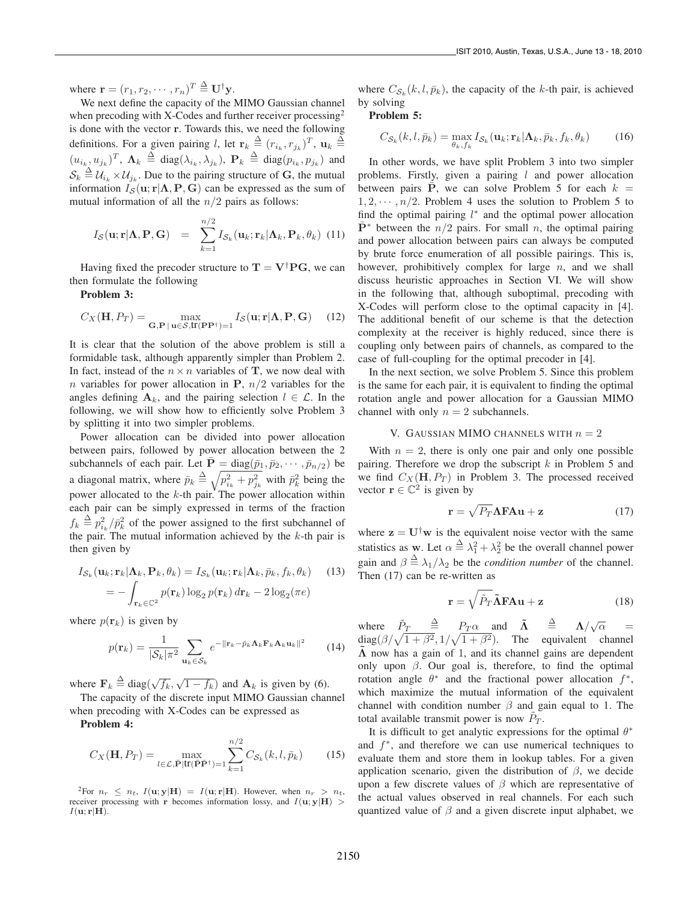where  $\mathbf{r} = (r_1, r_2, \cdots, r_n)^T \stackrel{\Delta}{=} \mathbf{U}^{\dagger} \mathbf{y}$ .<br>We next define the canocity of the

We next define the capacity of the MIMO Gaussian channel when precoding with X-Codes and further receiver processing<sup>2</sup> is done with the vector **r**. Towards this, we need the following definitions. For a given pairing l, let  $\mathbf{r}_k \stackrel{\Delta}{=} (r_{i_k}, r_{j_k})^T$ ,  $\mathbf{u}_k \stackrel{\Delta}{=}$  $(u_{ik}, u_{jk})^T$ ,  $\Lambda_k \triangleq \text{diag}(\lambda_{i_k}, \lambda_{j_k})$ ,  $\mathbf{P}_k \triangleq \text{diag}(p_{i_k}, p_{j_k})$  and  $S_k \triangleq U_{i_k} \times U_{j_k}$ . Due to the pairing structure of **G**, the mutual<br>information  $I_0(\mathbf{u}; \mathbf{r} | \mathbf{A} \mathbf{P} \mathbf{G})$  can be expressed as the sum of information  $I_S(\mathbf{u}; \mathbf{r} | \mathbf{\Lambda}, \mathbf{P}, \mathbf{G})$  can be expressed as the sum of mutual information of all the  $n/2$  pairs as follows:

$$
I_{\mathcal{S}}(\mathbf{u};\mathbf{r}|\mathbf{\Lambda},\mathbf{P},\mathbf{G}) = \sum_{k=1}^{n/2} I_{\mathcal{S}_k}(\mathbf{u}_k;\mathbf{r}_k|\mathbf{\Lambda}_k,\mathbf{P}_k,\theta_k)
$$
(11)

Having fixed the precoder structure to  $T = V^{\dagger} P G$ , we can then formulate the following

Problem 3:

$$
C_X(\mathbf{H}, P_T) = \max_{\mathbf{G}, \mathbf{P} \, | \, \mathbf{u} \in \mathcal{S}, \mathbf{t}(\mathbf{P} \mathbf{P}^\dagger) = 1} I_{\mathcal{S}}(\mathbf{u}; \mathbf{r} | \mathbf{\Lambda}, \mathbf{P}, \mathbf{G}) \tag{12}
$$

It is clear that the solution of the above problem is still a formidable task, although apparently simpler than Problem 2. In fact, instead of the  $n \times n$  variables of **T**, we now deal with n variables for power allocation in  $P$ ,  $n/2$  variables for the angles defining  $A_k$ , and the pairing selection  $l \in \mathcal{L}$ . In the following, we will show how to efficiently solve Problem 3 by splitting it into two simpler problems.

Power allocation can be divided into power allocation between pairs, followed by power allocation between the 2 subchannels of each pair. Let  $\bar{\mathbf{P}} = \text{diag}(\bar{p}_1, \bar{p}_2, \cdots, \bar{p}_{n/2})$  be a diagonal matrix, where  $\bar{p}_k \triangleq$  $\overline{z}$  $\sqrt{p_{i_k}^2 + p_{j_k}^2}$  with  $\bar{p}_k^2$  being the power allocated to the  $k$ -th pair. The power allocation within each pair can be simply expressed in terms of the fraction  $f_k \triangleq p_{i_k}^2 / \bar{p}_k^2$  of the power assigned to the first subchannel of the poir. The mutual information achieved by the k-th pair is the pair. The mutual information achieved by the  $k$ -th pair is then given by

$$
I_{\mathcal{S}_k}(\mathbf{u}_k; \mathbf{r}_k | \mathbf{\Lambda}_k, \mathbf{P}_k, \theta_k) = I_{\mathcal{S}_k}(\mathbf{u}_k; \mathbf{r}_k | \mathbf{\Lambda}_k, \bar{p}_k, f_k, \theta_k)
$$
(13)  

$$
= -\int_{\mathbf{r}_k \in \mathbb{C}^2} p(\mathbf{r}_k) \log_2 p(\mathbf{r}_k) d\mathbf{r}_k - 2 \log_2(\pi e)
$$

where  $p(\mathbf{r}_k)$  is given by

$$
p(\mathbf{r}_k) = \frac{1}{|\mathcal{S}_k|\pi^2} \sum_{\mathbf{u}_k \in \mathcal{S}_k} e^{-\|\mathbf{r}_k - \bar{p}_k \mathbf{\Lambda}_k \mathbf{F}_k \mathbf{A}_k \mathbf{u}_k\|^2}
$$
(14)

where  $\mathbf{F}_k \stackrel{\Delta}{=} \text{diag}(\sqrt{f_k}, \sqrt{1-f_k})$  and  $\mathbf{A}_k$  is given by (6).<br>The capacity of the discrete input MIMO Gaussian char

The capacity of the discrete input MIMO Gaussian channel when precoding with X-Codes can be expressed as

Problem 4:

$$
C_X(\mathbf{H}, P_T) = \max_{l \in \mathcal{L}, \bar{\mathbf{P}} | \text{tr}(\bar{\mathbf{P}} \bar{\mathbf{P}}^{\dagger}) = 1} \sum_{k=1}^{n/2} C_{\mathcal{S}_k}(k, l, \bar{p}_k)
$$
(15)

<sup>2</sup>For  $n_r \leq n_t$ ,  $I(\mathbf{u}; \mathbf{y}|\mathbf{H}) = I(\mathbf{u}; \mathbf{r}|\mathbf{H})$ . However, when  $n_r > n_t$ , receiver processing with **r** becomes information lossy, and  $I(\mathbf{u}; \mathbf{y} | \mathbf{H})$  >  $I(\mathbf{u}; \mathbf{r}|\mathbf{H}).$ 

where  $C_{\mathcal{S}_k}(k,l,\bar{p}_k)$ , the capacity of the k-th pair, is achieved by solving

# Problem 5:

$$
C_{\mathcal{S}_k}(k,l,\bar{p}_k) = \max_{\theta_k, f_k} I_{\mathcal{S}_k}(\mathbf{u}_k; \mathbf{r}_k | \mathbf{\Lambda}_k, \bar{p}_k, f_k, \theta_k)
$$
(16)

In other words, we have split Problem 3 into two simpler problems. Firstly, given a pairing  $l$  and power allocation between pairs  $\overline{P}$ , we can solve Problem 5 for each  $k =$  $1, 2, \cdots, n/2$ . Problem 4 uses the solution to Problem 5 to find the optimal pairing  $l^*$  and the optimal power allocation  $\mathbf{P}^*$  between the  $n/2$  pairs. For small n, the optimal pairing and power allocation between pairs can always be computed by brute force enumeration of all possible pairings. This is, however, prohibitively complex for large  $n$ , and we shall discuss heuristic approaches in Section VI. We will show in the following that, although suboptimal, precoding with X-Codes will perform close to the optimal capacity in [4]. The additional benefit of our scheme is that the detection complexity at the receiver is highly reduced, since there is coupling only between pairs of channels, as compared to the case of full-coupling for the optimal precoder in [4].

In the next section, we solve Problem 5. Since this problem is the same for each pair, it is equivalent to finding the optimal rotation angle and power allocation for a Gaussian MIMO channel with only  $n = 2$  subchannels.

# V. GAUSSIAN MIMO CHANNELS WITH  $n = 2$

With  $n = 2$ , there is only one pair and only one possible pairing. Therefore we drop the subscript  $k$  in Problem 5 and we find  $C_X(\mathbf{H}, P_T)$  in Problem 3. The processed received vector **r**  $\in \mathbb{C}^2$  is given by

$$
\mathbf{r} = \sqrt{P_T} \mathbf{\Lambda} \mathbf{F} \mathbf{A} \mathbf{u} + \mathbf{z}
$$
 (17)

where  $z = U^{\dagger}w$  is the equivalent noise vector with the same statistics as **w**. Let  $\alpha \stackrel{\Delta}{=} \lambda_1^2 + \lambda_2^2$  be the overall channel power gain and  $\beta \stackrel{\Delta}{=} \lambda_1/\lambda_2$  be the *condition number* of the channel.<br>Then (17) can be re-written as Then (17) can be re-written as

$$
\mathbf{r} = \sqrt{\tilde{P}_{T}\tilde{\mathbf{\Lambda}}\mathbf{F}\mathbf{A}\mathbf{u}} + \mathbf{z}
$$
 (18)

where  $\tilde{P}_T \triangleq P_T \alpha$  and  $\tilde{\Lambda} \triangleq \Lambda/\sqrt{\alpha}$  =<br>diag( $\beta/\sqrt{1+\beta^2}$  1/ $\sqrt{1+\beta^2}$ ) The equivalent channel  $\frac{\text{diag}(\beta/\sqrt{1+\beta^2}, 1/\sqrt{1+\beta^2})}{\lambda}$ . The equivalent channel  $\tilde{\Lambda}$  now has a gain of 1, and its channel gains are dependent only upon  $\beta$ . Our goal is, therefore, to find the optimal rotation angle  $\theta^*$  and the fractional power allocation  $f^*$ , which maximize the mutual information of the equivalent channel with condition number  $\beta$  and gain equal to 1. The total available transmit power is now  $\tilde{P}_T$ .

It is difficult to get analytic expressions for the optimal  $\theta^*$ and  $f^*$ , and therefore we can use numerical techniques to evaluate them and store them in lookup tables. For a given application scenario, given the distribution of  $\beta$ , we decide upon a few discrete values of  $\beta$  which are representative of the actual values observed in real channels. For each such quantized value of  $\beta$  and a given discrete input alphabet, we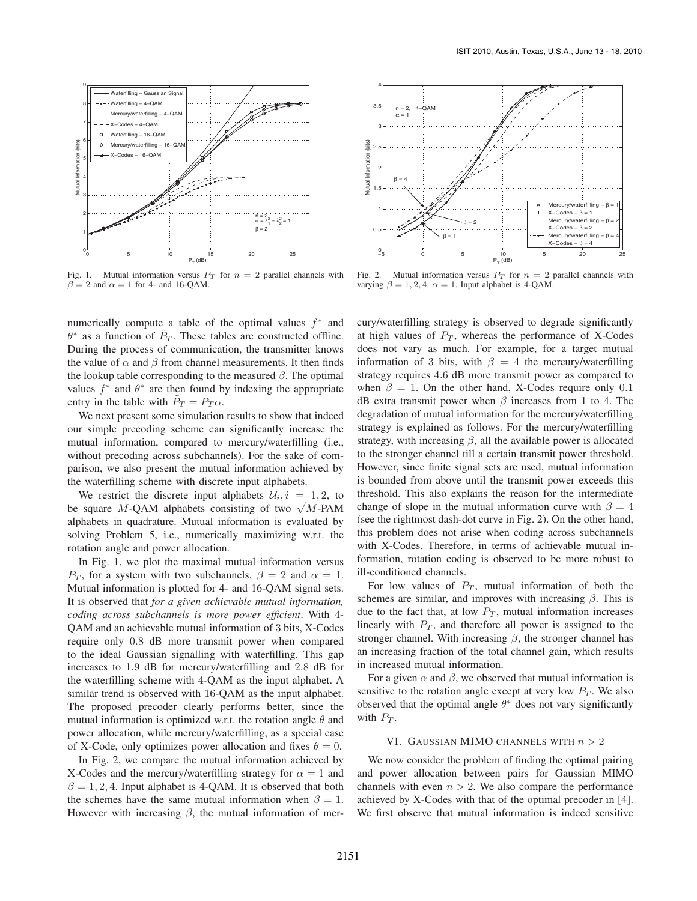

Fig. 1. Mutual information versus  $P_T$  for  $n = 2$  parallel channels with  $\beta = 2$  and  $\alpha = 1$  for 4- and 16-QAM.

numerically compute a table of the optimal values  $f^*$  and  $\theta^*$  as a function of  $\tilde{P}_T$ . These tables are constructed offline. During the process of communication, the transmitter knows the value of  $\alpha$  and  $\beta$  from channel measurements. It then finds the lookup table corresponding to the measured  $\beta$ . The optimal values  $f^*$  and  $\theta^*$  are then found by indexing the appropriate entry in the table with  $\tilde{P}_T = P_T \alpha$ .

We next present some simulation results to show that indeed our simple precoding scheme can significantly increase the mutual information, compared to mercury/waterfilling (i.e., without precoding across subchannels). For the sake of comparison, we also present the mutual information achieved by the waterfilling scheme with discrete input alphabets.

We restrict the discrete input alphabets  $\mathcal{U}_i$ ,  $i = 1, 2$ , to we restrict the discrete input alphabets  $u_i$ ,  $i = 1, 2, 6$ <br>be square M-QAM alphabets consisting of two  $\sqrt{M}$ -PAM alphabets in quadrature. Mutual information is evaluated by solving Problem 5, i.e., numerically maximizing w.r.t. the rotation angle and power allocation.

In Fig. 1, we plot the maximal mutual information versus  $P_T$ , for a system with two subchannels,  $\beta = 2$  and  $\alpha = 1$ . Mutual information is plotted for 4- and 16-QAM signal sets. It is observed that *for a given achievable mutual information, coding across subchannels is more power efficient*. With 4- QAM and an achievable mutual information of 3 bits, X-Codes require only 0.8 dB more transmit power when compared to the ideal Gaussian signalling with waterfilling. This gap increases to 1.9 dB for mercury/waterfilling and 2.8 dB for the waterfilling scheme with 4-QAM as the input alphabet. A similar trend is observed with 16-QAM as the input alphabet. The proposed precoder clearly performs better, since the mutual information is optimized w.r.t. the rotation angle  $\theta$  and power allocation, while mercury/waterfilling, as a special case of X-Code, only optimizes power allocation and fixes  $\theta = 0$ .

In Fig. 2, we compare the mutual information achieved by X-Codes and the mercury/waterfilling strategy for  $\alpha = 1$  and  $\beta = 1, 2, 4$ . Input alphabet is 4-QAM. It is observed that both the schemes have the same mutual information when  $\beta = 1$ . However with increasing  $\beta$ , the mutual information of mer-



Fig. 2. Mutual information versus  $P_T$  for  $n = 2$  parallel channels with varying  $\beta = 1, 2, 4$ .  $\alpha = 1$ . Input alphabet is 4-QAM.

cury/waterfilling strategy is observed to degrade significantly at high values of  $P_T$ , whereas the performance of X-Codes does not vary as much. For example, for a target mutual information of 3 bits, with  $\beta = 4$  the mercury/waterfilling strategy requires 4.6 dB more transmit power as compared to when  $\beta = 1$ . On the other hand, X-Codes require only 0.1 dB extra transmit power when  $\beta$  increases from 1 to 4. The degradation of mutual information for the mercury/waterfilling strategy is explained as follows. For the mercury/waterfilling strategy, with increasing  $\beta$ , all the available power is allocated to the stronger channel till a certain transmit power threshold. However, since finite signal sets are used, mutual information is bounded from above until the transmit power exceeds this threshold. This also explains the reason for the intermediate change of slope in the mutual information curve with  $\beta = 4$ (see the rightmost dash-dot curve in Fig. 2). On the other hand, this problem does not arise when coding across subchannels with X-Codes. Therefore, in terms of achievable mutual information, rotation coding is observed to be more robust to ill-conditioned channels.

For low values of  $P_T$ , mutual information of both the schemes are similar, and improves with increasing  $\beta$ . This is due to the fact that, at low  $P_T$ , mutual information increases linearly with  $P_T$ , and therefore all power is assigned to the stronger channel. With increasing  $\beta$ , the stronger channel has an increasing fraction of the total channel gain, which results in increased mutual information.

For a given  $\alpha$  and  $\beta$ , we observed that mutual information is sensitive to the rotation angle except at very low  $P_T$ . We also observed that the optimal angle  $\theta^*$  does not vary significantly with  $P_T$ .

## VI. GAUSSIAN MIMO CHANNELS WITH  $n > 2$

We now consider the problem of finding the optimal pairing and power allocation between pairs for Gaussian MIMO channels with even  $n > 2$ . We also compare the performance achieved by X-Codes with that of the optimal precoder in [4]. We first observe that mutual information is indeed sensitive